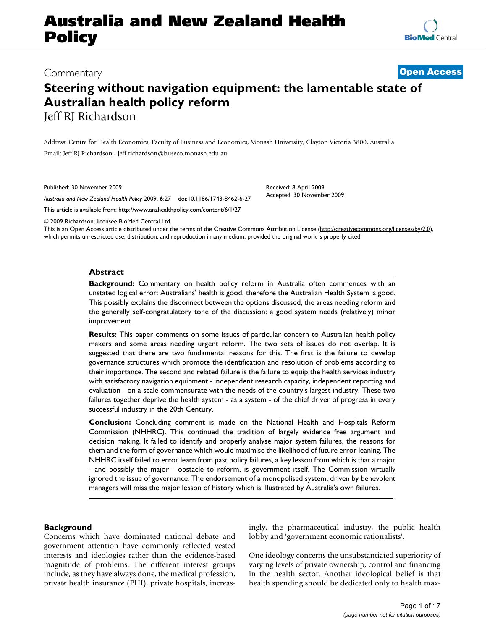# **Australia and New Zealand Health Policy**

## Commentary **[Open Access](http://www.biomedcentral.com/info/about/charter/)**

## **Steering without navigation equipment: the lamentable state of Australian health policy reform** Jeff RJ Richardson

Address: Centre for Health Economics, Faculty of Business and Economics, Monash University, Clayton Victoria 3800, Australia Email: Jeff RJ Richardson - jeff.richardson@buseco.monash.edu.au

Published: 30 November 2009

*Australia and New Zealand Health Policy* 2009, **6**:27 doi:10.1186/1743-8462-6-27

[This article is available from: http://www.anzhealthpolicy.com/content/6/1/27](http://www.anzhealthpolicy.com/content/6/1/27)

© 2009 Richardson; licensee BioMed Central Ltd.

This is an Open Access article distributed under the terms of the Creative Commons Attribution License [\(http://creativecommons.org/licenses/by/2.0\)](http://creativecommons.org/licenses/by/2.0), which permits unrestricted use, distribution, and reproduction in any medium, provided the original work is properly cited.

Received: 8 April 2009 Accepted: 30 November 2009

#### **Abstract**

**Background:** Commentary on health policy reform in Australia often commences with an unstated logical error: Australians' health is good, therefore the Australian Health System is good. This possibly explains the disconnect between the options discussed, the areas needing reform and the generally self-congratulatory tone of the discussion: a good system needs (relatively) minor improvement.

**Results:** This paper comments on some issues of particular concern to Australian health policy makers and some areas needing urgent reform. The two sets of issues do not overlap. It is suggested that there are two fundamental reasons for this. The first is the failure to develop governance structures which promote the identification and resolution of problems according to their importance. The second and related failure is the failure to equip the health services industry with satisfactory navigation equipment - independent research capacity, independent reporting and evaluation - on a scale commensurate with the needs of the country's largest industry. These two failures together deprive the health system - as a system - of the chief driver of progress in every successful industry in the 20th Century.

**Conclusion:** Concluding comment is made on the National Health and Hospitals Reform Commission (NHHRC). This continued the tradition of largely evidence free argument and decision making. It failed to identify and properly analyse major system failures, the reasons for them and the form of governance which would maximise the likelihood of future error leaning. The NHHRC itself failed to error learn from past policy failures, a key lesson from which is that a major - and possibly the major - obstacle to reform, is government itself. The Commission virtually ignored the issue of governance. The endorsement of a monopolised system, driven by benevolent managers will miss the major lesson of history which is illustrated by Australia's own failures.

## **Background**

Concerns which have dominated national debate and government attention have commonly reflected vested interests and ideologies rather than the evidence-based magnitude of problems. The different interest groups include, as they have always done, the medical profession, private health insurance (PHI), private hospitals, increasingly, the pharmaceutical industry, the public health lobby and 'government economic rationalists'.

One ideology concerns the unsubstantiated superiority of varying levels of private ownership, control and financing in the health sector. Another ideological belief is that health spending should be dedicated only to health max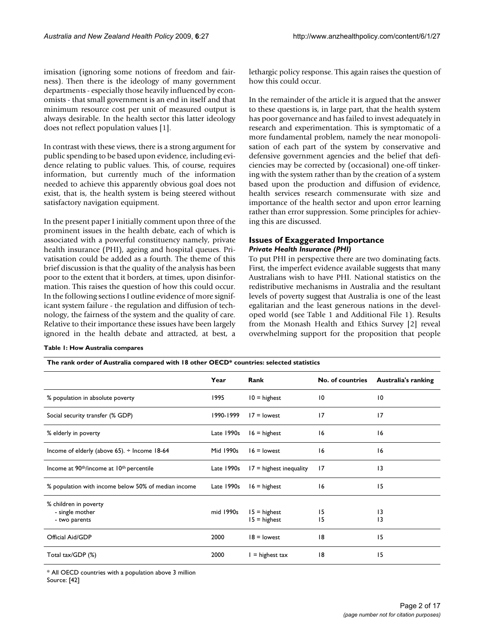imisation (ignoring some notions of freedom and fairness). Then there is the ideology of many government departments - especially those heavily influenced by economists - that small government is an end in itself and that minimum resource cost per unit of measured output is always desirable. In the health sector this latter ideology does not reflect population values [1].

In contrast with these views, there is a strong argument for public spending to be based upon evidence, including evidence relating to public values. This, of course, requires information, but currently much of the information needed to achieve this apparently obvious goal does not exist, that is, the health system is being steered without satisfactory navigation equipment.

In the present paper I initially comment upon three of the prominent issues in the health debate, each of which is associated with a powerful constituency namely, private health insurance (PHI), ageing and hospital queues. Privatisation could be added as a fourth. The theme of this brief discussion is that the quality of the analysis has been poor to the extent that it borders, at times, upon disinformation. This raises the question of how this could occur. In the following sections I outline evidence of more significant system failure - the regulation and diffusion of technology, the fairness of the system and the quality of care. Relative to their importance these issues have been largely ignored in the health debate and attracted, at best, a

#### **Table 1: How Australia compares**

lethargic policy response. This again raises the question of how this could occur.

In the remainder of the article it is argued that the answer to these questions is, in large part, that the health system has poor governance and has failed to invest adequately in research and experimentation. This is symptomatic of a more fundamental problem, namely the near monopolisation of each part of the system by conservative and defensive government agencies and the belief that deficiencies may be corrected by (occasional) one-off tinkering with the system rather than by the creation of a system based upon the production and diffusion of evidence, health services research commensurate with size and importance of the health sector and upon error learning rather than error suppression. Some principles for achieving this are discussed.

## **Issues of Exaggerated Importance** *Private Health Insurance (PHI)*

To put PHI in perspective there are two dominating facts. First, the imperfect evidence available suggests that many Australians wish to have PHI. National statistics on the redistributive mechanisms in Australia and the resultant levels of poverty suggest that Australia is one of the least egalitarian and the least generous nations in the developed world (see Table 1 and Additional File 1). Results from the Monash Health and Ethics Survey [2] reveal overwhelming support for the proposition that people

| The rank order of Australia compared with 18 other OECD* countries: selected statistics |            |                                  |                  |                            |
|-----------------------------------------------------------------------------------------|------------|----------------------------------|------------------|----------------------------|
|                                                                                         | Year       | Rank                             | No. of countries | <b>Australia's ranking</b> |
| % population in absolute poverty                                                        | 1995       | $10 =$ highest                   | $\overline{10}$  | $\overline{10}$            |
| Social security transfer (% GDP)                                                        | 1990-1999  | $17 =$ lowest                    | 17               | 17                         |
| % elderly in poverty                                                                    | Late 1990s | $16$ = highest                   | 16               | 16                         |
| Income of elderly (above 65). $\div$ Income 18-64                                       | Mid 1990s  | $16 =$ lowest                    | 16               | 16                         |
| Income at 90 <sup>th</sup> /income at 10 <sup>th</sup> percentile                       | Late 1990s | $17$ = highest inequality        | 17               | 13                         |
| % population with income below 50% of median income                                     | Late 1990s | $16$ = highest                   | 16               | 15                         |
| % children in poverty<br>- single mother<br>- two parents                               | mid 1990s  | $15 =$ highest<br>$15 =$ highest | 15<br>15         | $\overline{13}$<br>13      |
| Official Aid/GDP                                                                        | 2000       | $18 =$ lowest                    | 18               | 15                         |
| Total tax/GDP (%)                                                                       | 2000       | $I =$ highest tax                | 18               | 15                         |

\* All OECD countries with a population above 3 million Source: [42]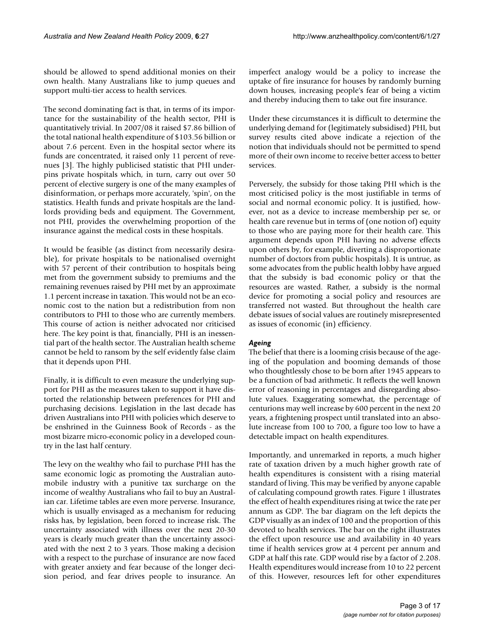should be allowed to spend additional monies on their own health. Many Australians like to jump queues and support multi-tier access to health services.

The second dominating fact is that, in terms of its importance for the sustainability of the health sector, PHI is quantitatively trivial. In 2007/08 it raised \$7.86 billion of the total national health expenditure of \$103.56 billion or about 7.6 percent. Even in the hospital sector where its funds are concentrated, it raised only 11 percent of revenues [3]. The highly publicised statistic that PHI underpins private hospitals which, in turn, carry out over 50 percent of elective surgery is one of the many examples of disinformation, or perhaps more accurately, 'spin', on the statistics. Health funds and private hospitals are the landlords providing beds and equipment. The Government, not PHI, provides the overwhelming proportion of the insurance against the medical costs in these hospitals.

It would be feasible (as distinct from necessarily desirable), for private hospitals to be nationalised overnight with 57 percent of their contribution to hospitals being met from the government subsidy to premiums and the remaining revenues raised by PHI met by an approximate 1.1 percent increase in taxation. This would not be an economic cost to the nation but a redistribution from non contributors to PHI to those who are currently members. This course of action is neither advocated nor criticised here. The key point is that, financially, PHI is an inessential part of the health sector. The Australian health scheme cannot be held to ransom by the self evidently false claim that it depends upon PHI.

Finally, it is difficult to even measure the underlying support for PHI as the measures taken to support it have distorted the relationship between preferences for PHI and purchasing decisions. Legislation in the last decade has driven Australians into PHI with policies which deserve to be enshrined in the Guinness Book of Records - as the most bizarre micro-economic policy in a developed country in the last half century.

The levy on the wealthy who fail to purchase PHI has the same economic logic as promoting the Australian automobile industry with a punitive tax surcharge on the income of wealthy Australians who fail to buy an Australian car. Lifetime tables are even more perverse. Insurance, which is usually envisaged as a mechanism for reducing risks has, by legislation, been forced to increase risk. The uncertainty associated with illness over the next 20-30 years is clearly much greater than the uncertainty associated with the next 2 to 3 years. Those making a decision with a respect to the purchase of insurance are now faced with greater anxiety and fear because of the longer decision period, and fear drives people to insurance. An

imperfect analogy would be a policy to increase the uptake of fire insurance for houses by randomly burning down houses, increasing people's fear of being a victim and thereby inducing them to take out fire insurance.

Under these circumstances it is difficult to determine the underlying demand for (legitimately subsidised) PHI, but survey results cited above indicate a rejection of the notion that individuals should not be permitted to spend more of their own income to receive better access to better services.

Perversely, the subsidy for those taking PHI which is the most criticised policy is the most justifiable in terms of social and normal economic policy. It is justified, however, not as a device to increase membership per se, or health care revenue but in terms of (one notion of) equity to those who are paying more for their health care. This argument depends upon PHI having no adverse effects upon others by, for example, diverting a disproportionate number of doctors from public hospitals). It is untrue, as some advocates from the public health lobby have argued that the subsidy is bad economic policy or that the resources are wasted. Rather, a subsidy is the normal device for promoting a social policy and resources are transferred not wasted. But throughout the health care debate issues of social values are routinely misrepresented as issues of economic (in) efficiency.

## *Ageing*

The belief that there is a looming crisis because of the ageing of the population and booming demands of those who thoughtlessly chose to be born after 1945 appears to be a function of bad arithmetic. It reflects the well known error of reasoning in percentages and disregarding absolute values. Exaggerating somewhat, the percentage of centurions may well increase by 600 percent in the next 20 years, a frightening prospect until translated into an absolute increase from 100 to 700, a figure too low to have a detectable impact on health expenditures.

Importantly, and unremarked in reports, a much higher rate of taxation driven by a much higher growth rate of health expenditures is consistent with a rising material standard of living. This may be verified by anyone capable of calculating compound growth rates. Figure 1 illustrates the effect of health expenditures rising at twice the rate per annum as GDP. The bar diagram on the left depicts the GDP visually as an index of 100 and the proportion of this devoted to health services. The bar on the right illustrates the effect upon resource use and availability in 40 years time if health services grow at 4 percent per annum and GDP at half this rate. GDP would rise by a factor of 2.208. Health expenditures would increase from 10 to 22 percent of this. However, resources left for other expenditures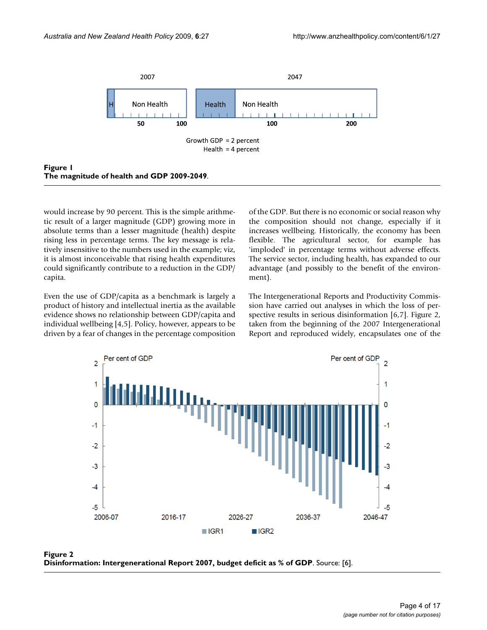**Figure 1** 



would increase by 90 percent. This is the simple arithmetic result of a larger magnitude (GDP) growing more in absolute terms than a lesser magnitude (health) despite rising less in percentage terms. The key message is relatively insensitive to the numbers used in the example; viz, it is almost inconceivable that rising health expenditures could significantly contribute to a reduction in the GDP/ capita.

Even the use of GDP/capita as a benchmark is largely a product of history and intellectual inertia as the available evidence shows no relationship between GDP/capita and individual wellbeing [4,5]. Policy, however, appears to be driven by a fear of changes in the percentage composition of the GDP. But there is no economic or social reason why the composition should not change, especially if it increases wellbeing. Historically, the economy has been flexible. The agricultural sector, for example has 'imploded' in percentage terms without adverse effects. The service sector, including health, has expanded to our advantage (and possibly to the benefit of the environment).

The Intergenerational Reports and Productivity Commission have carried out analyses in which the loss of perspective results in serious disinformation [6,7]. Figure 2, taken from the beginning of the 2007 Intergenerational Report and reproduced widely, encapsulates one of the



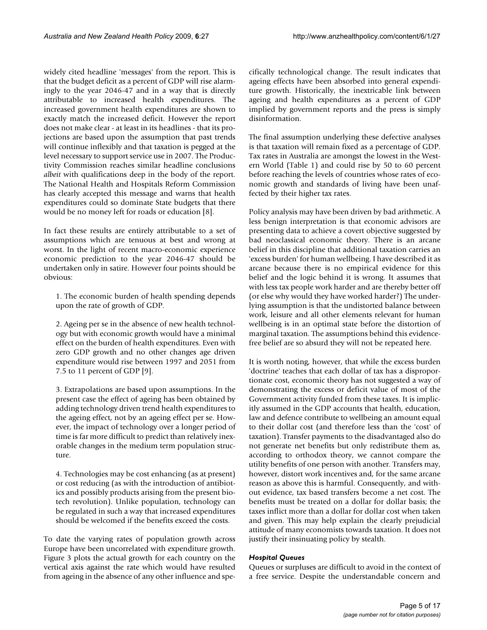widely cited headline 'messages' from the report. This is that the budget deficit as a percent of GDP will rise alarmingly to the year 2046-47 and in a way that is directly attributable to increased health expenditures. The increased government health expenditures are shown to exactly match the increased deficit. However the report does not make clear - at least in its headlines - that its projections are based upon the assumption that past trends will continue inflexibly and that taxation is pegged at the level necessary to support service use in 2007. The Productivity Commission reaches similar headline conclusions *albeit* with qualifications deep in the body of the report. The National Health and Hospitals Reform Commission has clearly accepted this message and warns that health expenditures could so dominate State budgets that there would be no money left for roads or education [8].

In fact these results are entirely attributable to a set of assumptions which are tenuous at best and wrong at worst. In the light of recent macro-economic experience economic prediction to the year 2046-47 should be undertaken only in satire. However four points should be obvious:

1. The economic burden of health spending depends upon the rate of growth of GDP.

2. Ageing per se in the absence of new health technology but with economic growth would have a minimal effect on the burden of health expenditures. Even with zero GDP growth and no other changes age driven expenditure would rise between 1997 and 2051 from 7.5 to 11 percent of GDP [9].

3. Extrapolations are based upon assumptions. In the present case the effect of ageing has been obtained by adding technology driven trend health expenditures to the ageing effect, not by an ageing effect per se. However, the impact of technology over a longer period of time is far more difficult to predict than relatively inexorable changes in the medium term population structure.

4. Technologies may be cost enhancing (as at present) or cost reducing (as with the introduction of antibiotics and possibly products arising from the present biotech revolution). Unlike population, technology can be regulated in such a way that increased expenditures should be welcomed if the benefits exceed the costs.

To date the varying rates of population growth across Europe have been uncorrelated with expenditure growth. Figure 3 plots the actual growth for each country on the vertical axis against the rate which would have resulted from ageing in the absence of any other influence and specifically technological change. The result indicates that ageing effects have been absorbed into general expenditure growth. Historically, the inextricable link between ageing and health expenditures as a percent of GDP implied by government reports and the press is simply disinformation.

The final assumption underlying these defective analyses is that taxation will remain fixed as a percentage of GDP. Tax rates in Australia are amongst the lowest in the Western World (Table 1) and could rise by 50 to 60 percent before reaching the levels of countries whose rates of economic growth and standards of living have been unaffected by their higher tax rates.

Policy analysis may have been driven by bad arithmetic. A less benign interpretation is that economic advisors are presenting data to achieve a covert objective suggested by bad neoclassical economic theory. There is an arcane belief in this discipline that additional taxation carries an 'excess burden' for human wellbeing. I have described it as arcane because there is no empirical evidence for this belief and the logic behind it is wrong. It assumes that with less tax people work harder and are thereby better off (or else why would they have worked harder?) The underlying assumption is that the undistorted balance between work, leisure and all other elements relevant for human wellbeing is in an optimal state before the distortion of marginal taxation. The assumptions behind this evidencefree belief are so absurd they will not be repeated here.

It is worth noting, however, that while the excess burden 'doctrine' teaches that each dollar of tax has a disproportionate cost, economic theory has not suggested a way of demonstrating the excess or deficit value of most of the Government activity funded from these taxes. It is implicitly assumed in the GDP accounts that health, education, law and defence contribute to wellbeing an amount equal to their dollar cost (and therefore less than the 'cost' of taxation). Transfer payments to the disadvantaged also do not generate net benefits but only redistribute them as, according to orthodox theory, we cannot compare the utility benefits of one person with another. Transfers may, however, distort work incentives and, for the same arcane reason as above this is harmful. Consequently, and without evidence, tax based transfers become a net cost. The benefits must be treated on a dollar for dollar basis; the taxes inflict more than a dollar for dollar cost when taken and given. This may help explain the clearly prejudicial attitude of many economists towards taxation. It does not justify their insinuating policy by stealth.

## *Hospital Queues*

Queues or surpluses are difficult to avoid in the context of a free service. Despite the understandable concern and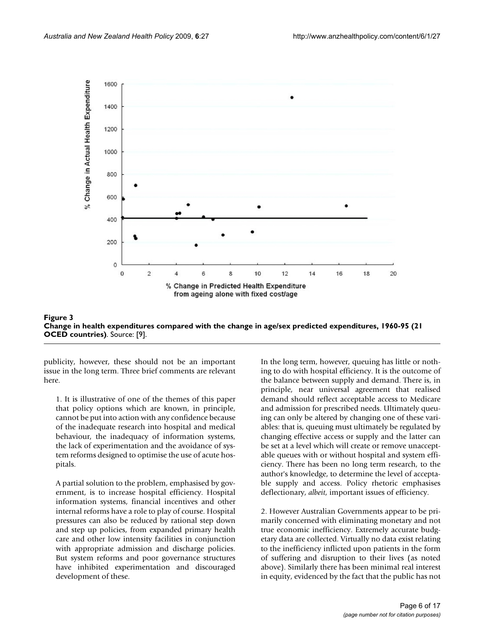

#### Change in health expenditures compared with the change in **Figure 3** age/sex predicted expenditures, 1960-95 (21 OCED countries) **Change in health expenditures compared with the change in age/sex predicted expenditures, 1960-95 (21 OCED countries)**. Source: [9].

publicity, however, these should not be an important issue in the long term. Three brief comments are relevant here.

1. It is illustrative of one of the themes of this paper that policy options which are known, in principle, cannot be put into action with any confidence because of the inadequate research into hospital and medical behaviour, the inadequacy of information systems, the lack of experimentation and the avoidance of system reforms designed to optimise the use of acute hospitals.

A partial solution to the problem, emphasised by government, is to increase hospital efficiency. Hospital information systems, financial incentives and other internal reforms have a role to play of course. Hospital pressures can also be reduced by rational step down and step up policies, from expanded primary health care and other low intensity facilities in conjunction with appropriate admission and discharge policies. But system reforms and poor governance structures have inhibited experimentation and discouraged development of these.

In the long term, however, queuing has little or nothing to do with hospital efficiency. It is the outcome of the balance between supply and demand. There is, in principle, near universal agreement that realised demand should reflect acceptable access to Medicare and admission for prescribed needs. Ultimately queuing can only be altered by changing one of these variables: that is, queuing must ultimately be regulated by changing effective access or supply and the latter can be set at a level which will create or remove unacceptable queues with or without hospital and system efficiency. There has been no long term research, to the author's knowledge, to determine the level of acceptable supply and access. Policy rhetoric emphasises deflectionary, *albeit*, important issues of efficiency.

2. However Australian Governments appear to be primarily concerned with eliminating monetary and not true economic inefficiency. Extremely accurate budgetary data are collected. Virtually no data exist relating to the inefficiency inflicted upon patients in the form of suffering and disruption to their lives (as noted above). Similarly there has been minimal real interest in equity, evidenced by the fact that the public has not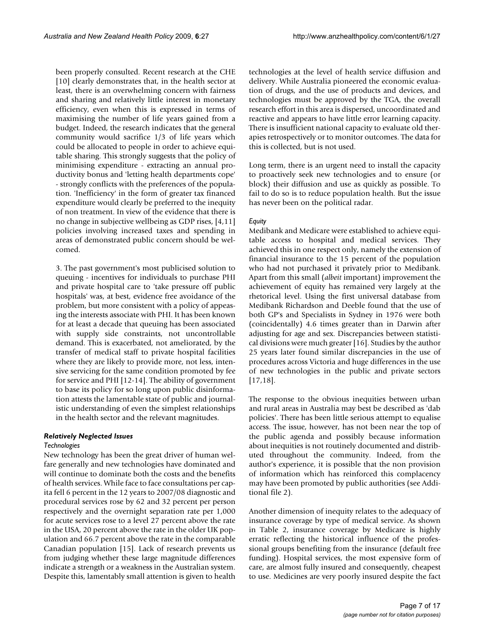been properly consulted. Recent research at the CHE [10] clearly demonstrates that, in the health sector at least, there is an overwhelming concern with fairness and sharing and relatively little interest in monetary efficiency, even when this is expressed in terms of maximising the number of life years gained from a budget. Indeed, the research indicates that the general community would sacrifice 1/3 of life years which could be allocated to people in order to achieve equitable sharing. This strongly suggests that the policy of minimising expenditure - extracting an annual productivity bonus and 'letting health departments cope' - strongly conflicts with the preferences of the population. 'Inefficiency' in the form of greater tax financed expenditure would clearly be preferred to the inequity of non treatment. In view of the evidence that there is no change in subjective wellbeing as GDP rises, [4,11] policies involving increased taxes and spending in areas of demonstrated public concern should be welcomed.

3. The past government's most publicised solution to queuing - incentives for individuals to purchase PHI and private hospital care to 'take pressure off public hospitals' was, at best, evidence free avoidance of the problem, but more consistent with a policy of appeasing the interests associate with PHI. It has been known for at least a decade that queuing has been associated with supply side constraints, not uncontrollable demand. This is exacerbated, not ameliorated, by the transfer of medical staff to private hospital facilities where they are likely to provide more, not less, intensive servicing for the same condition promoted by fee for service and PHI [12-14]. The ability of government to base its policy for so long upon public disinformation attests the lamentable state of public and journalistic understanding of even the simplest relationships in the health sector and the relevant magnitudes.

## *Relatively Neglected Issues*

#### *Technologies*

New technology has been the great driver of human welfare generally and new technologies have dominated and will continue to dominate both the costs and the benefits of health services. While face to face consultations per capita fell 6 percent in the 12 years to 2007/08 diagnostic and procedural services rose by 62 and 32 percent per person respectively and the overnight separation rate per 1,000 for acute services rose to a level 27 percent above the rate in the USA, 20 percent above the rate in the older UK population and 66.7 percent above the rate in the comparable Canadian population [15]. Lack of research prevents us from judging whether these large magnitude differences indicate a strength or a weakness in the Australian system. Despite this, lamentably small attention is given to health

technologies at the level of health service diffusion and delivery. While Australia pioneered the economic evaluation of drugs, and the use of products and devices, and technologies must be approved by the TGA, the overall research effort in this area is dispersed, uncoordinated and reactive and appears to have little error learning capacity. There is insufficient national capacity to evaluate old therapies retrospectively or to monitor outcomes. The data for this is collected, but is not used.

Long term, there is an urgent need to install the capacity to proactively seek new technologies and to ensure (or block) their diffusion and use as quickly as possible. To fail to do so is to reduce population health. But the issue has never been on the political radar.

## *Equity*

Medibank and Medicare were established to achieve equitable access to hospital and medical services. They achieved this in one respect only, namely the extension of financial insurance to the 15 percent of the population who had not purchased it privately prior to Medibank. Apart from this small (*albeit* important) improvement the achievement of equity has remained very largely at the rhetorical level. Using the first universal database from Medibank Richardson and Deeble found that the use of both GP's and Specialists in Sydney in 1976 were both (coincidentally) 4.6 times greater than in Darwin after adjusting for age and sex. Discrepancies between statistical divisions were much greater [16]. Studies by the author 25 years later found similar discrepancies in the use of procedures across Victoria and huge differences in the use of new technologies in the public and private sectors [17,18].

The response to the obvious inequities between urban and rural areas in Australia may best be described as 'dab policies'. There has been little serious attempt to equalise access. The issue, however, has not been near the top of the public agenda and possibly because information about inequities is not routinely documented and distributed throughout the community. Indeed, from the author's experience, it is possible that the non provision of information which has reinforced this complacency may have been promoted by public authorities (see Additional file 2).

Another dimension of inequity relates to the adequacy of insurance coverage by type of medical service. As shown in Table 2, insurance coverage by Medicare is highly erratic reflecting the historical influence of the professional groups benefiting from the insurance (default free funding). Hospital services, the most expensive form of care, are almost fully insured and consequently, cheapest to use. Medicines are very poorly insured despite the fact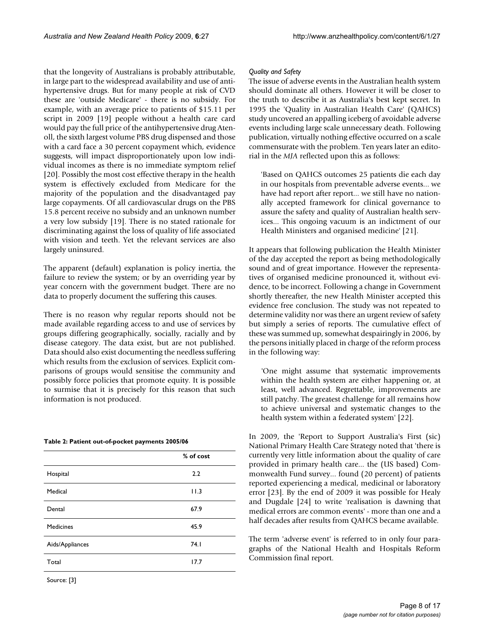that the longevity of Australians is probably attributable, in large part to the widespread availability and use of antihypertensive drugs. But for many people at risk of CVD these are 'outside Medicare' - there is no subsidy. For example, with an average price to patients of \$15.11 per script in 2009 [19] people without a health care card would pay the full price of the antihypertensive drug Atenoll, the sixth largest volume PBS drug dispensed and those with a card face a 30 percent copayment which, evidence suggests, will impact disproportionately upon low individual incomes as there is no immediate symptom relief [20]. Possibly the most cost effective therapy in the health system is effectively excluded from Medicare for the majority of the population and the disadvantaged pay large copayments. Of all cardiovascular drugs on the PBS 15.8 percent receive no subsidy and an unknown number a very low subsidy [19]. There is no stated rationale for discriminating against the loss of quality of life associated with vision and teeth. Yet the relevant services are also largely uninsured.

The apparent (default) explanation is policy inertia, the failure to review the system; or by an overriding year by year concern with the government budget. There are no data to properly document the suffering this causes.

There is no reason why regular reports should not be made available regarding access to and use of services by groups differing geographically, socially, racially and by disease category. The data exist, but are not published. Data should also exist documenting the needless suffering which results from the exclusion of services. Explicit comparisons of groups would sensitise the community and possibly force policies that promote equity. It is possible to surmise that it is precisely for this reason that such information is not produced.

#### **Table 2: Patient out-of-pocket payments 2005/06**

|                 | % of cost |
|-----------------|-----------|
| Hospital        | 2.2       |
| Medical         | 11.3      |
| Dental          | 67.9      |
| Medicines       | 45.9      |
| Aids/Appliances | 74.1      |
| Total           | 17.7      |

Source: [3]

### *Quality and Safety*

The issue of adverse events in the Australian health system should dominate all others. However it will be closer to the truth to describe it as Australia's best kept secret. In 1995 the 'Quality in Australian Health Care' (QAHCS) study uncovered an appalling iceberg of avoidable adverse events including large scale unnecessary death. Following publication, virtually nothing effective occurred on a scale commensurate with the problem. Ten years later an editorial in the *MJA* reflected upon this as follows:

'Based on QAHCS outcomes 25 patients die each day in our hospitals from preventable adverse events... we have had report after report... we still have no nationally accepted framework for clinical governance to assure the safety and quality of Australian health services... This ongoing vacuum is an indictment of our Health Ministers and organised medicine' [21].

It appears that following publication the Health Minister of the day accepted the report as being methodologically sound and of great importance. However the representatives of organised medicine pronounced it, without evidence, to be incorrect. Following a change in Government shortly thereafter, the new Health Minister accepted this evidence free conclusion. The study was not repeated to determine validity nor was there an urgent review of safety but simply a series of reports. The cumulative effect of these was summed up, somewhat despairingly in 2006, by the persons initially placed in charge of the reform process in the following way:

*'*One might assume that systematic improvements within the health system are either happening or, at least, well advanced. Regrettable, improvements are still patchy. The greatest challenge for all remains how to achieve universal and systematic changes to the health system within a federated system' [22].

In 2009, the 'Report to Support Australia's First (sic) National Primary Health Care Strategy noted that 'there is currently very little information about the quality of care provided in primary health care... the (US based) Commonwealth Fund survey... found (20 percent) of patients reported experiencing a medical, medicinal or laboratory error [23]. By the end of 2009 it was possible for Healy and Dugdale [24] to write 'realisation is dawning that medical errors are common events' - more than one and a half decades after results from QAHCS became available.

The term 'adverse event' is referred to in only four paragraphs of the National Health and Hospitals Reform Commission final report.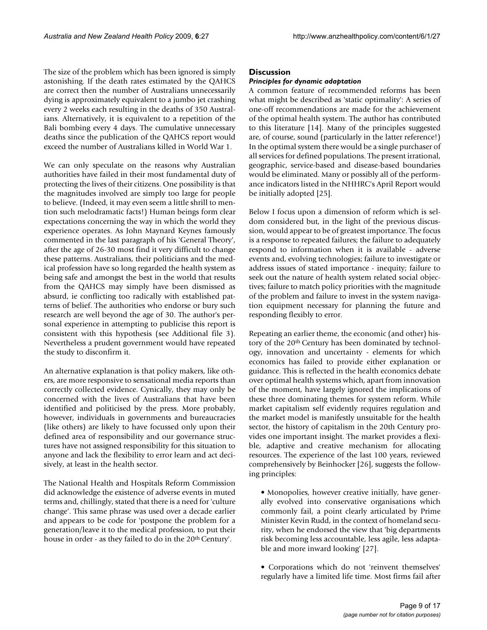The size of the problem which has been ignored is simply astonishing. If the death rates estimated by the QAHCS are correct then the number of Australians unnecessarily dying is approximately equivalent to a jumbo jet crashing every 2 weeks each resulting in the deaths of 350 Australians. Alternatively, it is equivalent to a repetition of the Bali bombing every 4 days. The cumulative unnecessary deaths since the publication of the QAHCS report would exceed the number of Australians killed in World War 1.

We can only speculate on the reasons why Australian authorities have failed in their most fundamental duty of protecting the lives of their citizens. One possibility is that the magnitudes involved are simply too large for people to believe. (Indeed, it may even seem a little shrill to mention such melodramatic facts!) Human beings form clear expectations concerning the way in which the world they experience operates. As John Maynard Keynes famously commented in the last paragraph of his 'General Theory', after the age of 26-30 most find it very difficult to change these patterns. Australians, their politicians and the medical profession have so long regarded the health system as being safe and amongst the best in the world that results from the QAHCS may simply have been dismissed as absurd, ie conflicting too radically with established patterns of belief. The authorities who endorse or bury such research are well beyond the age of 30. The author's personal experience in attempting to publicise this report is consistent with this hypothesis (see Additional file 3). Nevertheless a prudent government would have repeated the study to disconfirm it.

An alternative explanation is that policy makers, like others, are more responsive to sensational media reports than correctly collected evidence. Cynically, they may only be concerned with the lives of Australians that have been identified and politicised by the press. More probably, however, individuals in governments and bureaucracies (like others) are likely to have focussed only upon their defined area of responsibility and our governance structures have not assigned responsibility for this situation to anyone and lack the flexibility to error learn and act decisively, at least in the health sector.

The National Health and Hospitals Reform Commission did acknowledge the existence of adverse events in muted terms and, chillingly, stated that there is a need for 'culture change'. This same phrase was used over a decade earlier and appears to be code for 'postpone the problem for a generation/leave it to the medical profession, to put their house in order - as they failed to do in the 20<sup>th</sup> Century'.

#### **Discussion**

#### *Principles for dynamic adaptation*

A common feature of recommended reforms has been what might be described as 'static optimality': A series of one-off recommendations are made for the achievement of the optimal health system. The author has contributed to this literature [14]. Many of the principles suggested are, of course, sound (particularly in the latter reference!) In the optimal system there would be a single purchaser of all services for defined populations. The present irrational, geographic, service-based and disease-based boundaries would be eliminated. Many or possibly all of the performance indicators listed in the NHHRC's April Report would be initially adopted [25].

Below I focus upon a dimension of reform which is seldom considered but, in the light of the previous discussion, would appear to be of greatest importance. The focus is a response to repeated failures; the failure to adequately respond to information when it is available - adverse events and, evolving technologies; failure to investigate or address issues of stated importance - inequity; failure to seek out the nature of health system related social objectives; failure to match policy priorities with the magnitude of the problem and failure to invest in the system navigation equipment necessary for planning the future and responding flexibly to error.

Repeating an earlier theme, the economic (and other) history of the 20<sup>th</sup> Century has been dominated by technology, innovation and uncertainty - elements for which economics has failed to provide either explanation or guidance. This is reflected in the health economics debate over optimal health systems which, apart from innovation of the moment, have largely ignored the implications of these three dominating themes for system reform. While market capitalism self evidently requires regulation and the market model is manifestly unsuitable for the health sector, the history of capitalism in the 20th Century provides one important insight. The market provides a flexible, adaptive and creative mechanism for allocating resources. The experience of the last 100 years, reviewed comprehensively by Beinhocker [26], suggests the following principles:

• Monopolies, however creative initially, have generally evolved into conservative organisations which commonly fail, a point clearly articulated by Prime Minister Kevin Rudd, in the context of homeland security, when he endorsed the view that 'big departments risk becoming less accountable, less agile, less adaptable and more inward looking' [27].

• Corporations which do not 'reinvent themselves' regularly have a limited life time. Most firms fail after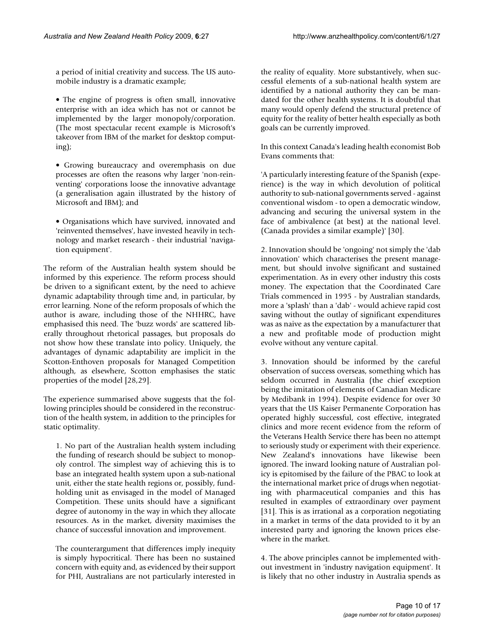a period of initial creativity and success. The US automobile industry is a dramatic example;

• The engine of progress is often small, innovative enterprise with an idea which has not or cannot be implemented by the larger monopoly/corporation. (The most spectacular recent example is Microsoft's takeover from IBM of the market for desktop computing);

• Growing bureaucracy and overemphasis on due processes are often the reasons why larger 'non-reinventing' corporations loose the innovative advantage (a generalisation again illustrated by the history of Microsoft and IBM); and

• Organisations which have survived, innovated and 'reinvented themselves', have invested heavily in technology and market research - their industrial 'navigation equipment'.

The reform of the Australian health system should be informed by this experience. The reform process should be driven to a significant extent, by the need to achieve dynamic adaptability through time and, in particular, by error learning. None of the reform proposals of which the author is aware, including those of the NHHRC, have emphasised this need. The 'buzz words' are scattered liberally throughout rhetorical passages, but proposals do not show how these translate into policy. Uniquely, the advantages of dynamic adaptability are implicit in the Scotton-Enthoven proposals for Managed Competition although, as elsewhere, Scotton emphasises the static properties of the model [28,29].

The experience summarised above suggests that the following principles should be considered in the reconstruction of the health system, in addition to the principles for static optimality.

1. No part of the Australian health system including the funding of research should be subject to monopoly control. The simplest way of achieving this is to base an integrated health system upon a sub-national unit, either the state health regions or, possibly, fundholding unit as envisaged in the model of Managed Competition. These units should have a significant degree of autonomy in the way in which they allocate resources. As in the market, diversity maximises the chance of successful innovation and improvement.

The counterargument that differences imply inequity is simply hypocritical. There has been no sustained concern with equity and, as evidenced by their support for PHI, Australians are not particularly interested in

the reality of equality. More substantively, when successful elements of a sub-national health system are identified by a national authority they can be mandated for the other health systems. It is doubtful that many would openly defend the structural pretence of equity for the reality of better health especially as both goals can be currently improved.

In this context Canada's leading health economist Bob Evans comments that:

'A particularly interesting feature of the Spanish (experience) is the way in which devolution of political authority to sub-national governments served - against conventional wisdom - to open a democratic window, advancing and securing the universal system in the face of ambivalence (at best) at the national level. (Canada provides a similar example)' [30].

2. Innovation should be 'ongoing' not simply the 'dab innovation' which characterises the present management, but should involve significant and sustained experimentation. As in every other industry this costs money. The expectation that the Coordinated Care Trials commenced in 1995 - by Australian standards, more a 'splash' than a 'dab' - would achieve rapid cost saving without the outlay of significant expenditures was as naive as the expectation by a manufacturer that a new and profitable mode of production might evolve without any venture capital.

3. Innovation should be informed by the careful observation of success overseas, something which has seldom occurred in Australia (the chief exception being the imitation of elements of Canadian Medicare by Medibank in 1994). Despite evidence for over 30 years that the US Kaiser Permanente Corporation has operated highly successful, cost effective, integrated clinics and more recent evidence from the reform of the Veterans Health Service there has been no attempt to seriously study or experiment with their experience. New Zealand's innovations have likewise been ignored. The inward looking nature of Australian policy is epitomised by the failure of the PBAC to look at the international market price of drugs when negotiating with pharmaceutical companies and this has resulted in examples of extraordinary over payment [31]. This is as irrational as a corporation negotiating in a market in terms of the data provided to it by an interested party and ignoring the known prices elsewhere in the market.

4. The above principles cannot be implemented without investment in 'industry navigation equipment'. It is likely that no other industry in Australia spends as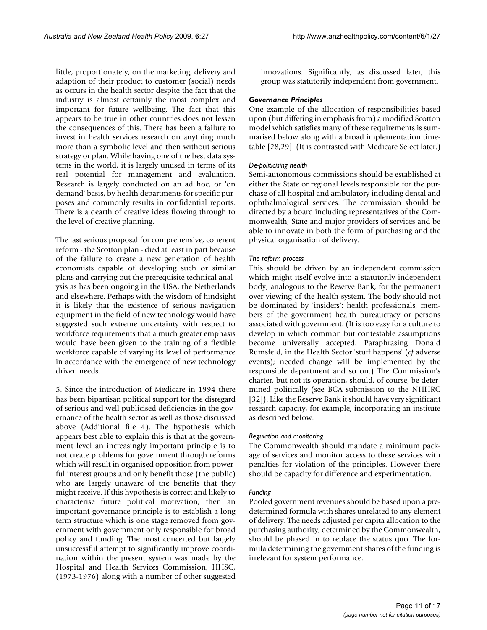little, proportionately, on the marketing, delivery and adaption of their product to customer (social) needs as occurs in the health sector despite the fact that the industry is almost certainly the most complex and important for future wellbeing. The fact that this appears to be true in other countries does not lessen the consequences of this. There has been a failure to invest in health services research on anything much more than a symbolic level and then without serious strategy or plan. While having one of the best data systems in the world, it is largely unused in terms of its real potential for management and evaluation. Research is largely conducted on an ad hoc, or 'on demand' basis, by health departments for specific purposes and commonly results in confidential reports. There is a dearth of creative ideas flowing through to the level of creative planning.

The last serious proposal for comprehensive, coherent reform - the Scotton plan - died at least in part because of the failure to create a new generation of health economists capable of developing such or similar plans and carrying out the prerequisite technical analysis as has been ongoing in the USA, the Netherlands and elsewhere. Perhaps with the wisdom of hindsight it is likely that the existence of serious navigation equipment in the field of new technology would have suggested such extreme uncertainty with respect to workforce requirements that a much greater emphasis would have been given to the training of a flexible workforce capable of varying its level of performance in accordance with the emergence of new technology driven needs.

5. Since the introduction of Medicare in 1994 there has been bipartisan political support for the disregard of serious and well publicised deficiencies in the governance of the health sector as well as those discussed above (Additional file 4). The hypothesis which appears best able to explain this is that at the government level an increasingly important principle is to not create problems for government through reforms which will result in organised opposition from powerful interest groups and only benefit those (the public) who are largely unaware of the benefits that they might receive. If this hypothesis is correct and likely to characterise future political motivation, then an important governance principle is to establish a long term structure which is one stage removed from government with government only responsible for broad policy and funding. The most concerted but largely unsuccessful attempt to significantly improve coordination within the present system was made by the Hospital and Health Services Commission, HHSC, (1973-1976) along with a number of other suggested innovations. Significantly, as discussed later, this group was statutorily independent from government.

## *Governance Principles*

One example of the allocation of responsibilities based upon (but differing in emphasis from) a modified Scotton model which satisfies many of these requirements is summarised below along with a broad implementation timetable [28,29]. (It is contrasted with Medicare Select later.)

## *De-politicising health*

Semi-autonomous commissions should be established at either the State or regional levels responsible for the purchase of all hospital and ambulatory including dental and ophthalmological services. The commission should be directed by a board including representatives of the Commonwealth, State and major providers of services and be able to innovate in both the form of purchasing and the physical organisation of delivery.

## *The reform process*

This should be driven by an independent commission which might itself evolve into a statutorily independent body, analogous to the Reserve Bank, for the permanent over-viewing of the health system. The body should not be dominated by 'insiders': health professionals, members of the government health bureaucracy or persons associated with government. (It is too easy for a culture to develop in which common but contestable assumptions become universally accepted. Paraphrasing Donald Rumsfeld, in the Health Sector 'stuff happens' (*cf* adverse events); needed change will be implemented by the responsible department and so on.) The Commission's charter, but not its operation, should, of course, be determined politically (see BCA submission to the NHHRC [32]). Like the Reserve Bank it should have very significant research capacity, for example, incorporating an institute as described below.

#### *Regulation and monitoring*

The Commonwealth should mandate a minimum package of services and monitor access to these services with penalties for violation of the principles. However there should be capacity for difference and experimentation.

#### *Funding*

Pooled government revenues should be based upon a predetermined formula with shares unrelated to any element of delivery. The needs adjusted per capita allocation to the purchasing authority, determined by the Commonwealth, should be phased in to replace the status quo. The formula determining the government shares of the funding is irrelevant for system performance.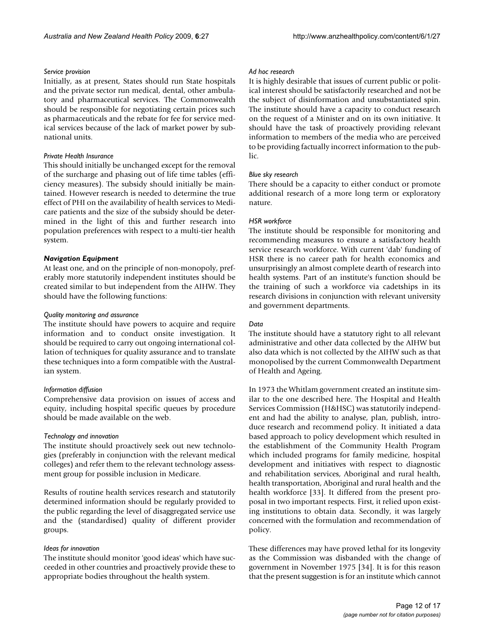#### *Service provision*

Initially, as at present, States should run State hospitals and the private sector run medical, dental, other ambulatory and pharmaceutical services. The Commonwealth should be responsible for negotiating certain prices such as pharmaceuticals and the rebate for fee for service medical services because of the lack of market power by subnational units.

#### *Private Health Insurance*

This should initially be unchanged except for the removal of the surcharge and phasing out of life time tables (efficiency measures). The subsidy should initially be maintained. However research is needed to determine the true effect of PHI on the availability of health services to Medicare patients and the size of the subsidy should be determined in the light of this and further research into population preferences with respect to a multi-tier health system.

#### *Navigation Equipment*

At least one, and on the principle of non-monopoly, preferably more statutorily independent institutes should be created similar to but independent from the AIHW. They should have the following functions:

#### *Quality monitoring and assurance*

The institute should have powers to acquire and require information and to conduct onsite investigation. It should be required to carry out ongoing international collation of techniques for quality assurance and to translate these techniques into a form compatible with the Australian system.

#### *Information diffusion*

Comprehensive data provision on issues of access and equity, including hospital specific queues by procedure should be made available on the web.

#### *Technology and innovation*

The institute should proactively seek out new technologies (preferably in conjunction with the relevant medical colleges) and refer them to the relevant technology assessment group for possible inclusion in Medicare.

Results of routine health services research and statutorily determined information should be regularly provided to the public regarding the level of disaggregated service use and the (standardised) quality of different provider groups.

#### *Ideas for innovation*

The institute should monitor 'good ideas' which have succeeded in other countries and proactively provide these to appropriate bodies throughout the health system.

#### *Ad hoc research*

It is highly desirable that issues of current public or political interest should be satisfactorily researched and not be the subject of disinformation and unsubstantiated spin. The institute should have a capacity to conduct research on the request of a Minister and on its own initiative. It should have the task of proactively providing relevant information to members of the media who are perceived to be providing factually incorrect information to the public.

#### *Blue sky research*

There should be a capacity to either conduct or promote additional research of a more long term or exploratory nature.

#### *HSR workforce*

The institute should be responsible for monitoring and recommending measures to ensure a satisfactory health service research workforce. With current 'dab' funding of HSR there is no career path for health economics and unsurprisingly an almost complete dearth of research into health systems. Part of an institute's function should be the training of such a workforce via cadetships in its research divisions in conjunction with relevant university and government departments.

#### *Data*

The institute should have a statutory right to all relevant administrative and other data collected by the AIHW but also data which is not collected by the AIHW such as that monopolised by the current Commonwealth Department of Health and Ageing.

In 1973 the Whitlam government created an institute similar to the one described here. The Hospital and Health Services Commission (H&HSC) was statutorily independent and had the ability to analyse, plan, publish, introduce research and recommend policy. It initiated a data based approach to policy development which resulted in the establishment of the Community Health Program which included programs for family medicine, hospital development and initiatives with respect to diagnostic and rehabilitation services, Aboriginal and rural health, health transportation, Aboriginal and rural health and the health workforce [33]. It differed from the present proposal in two important respects. First, it relied upon existing institutions to obtain data. Secondly, it was largely concerned with the formulation and recommendation of policy.

These differences may have proved lethal for its longevity as the Commission was disbanded with the change of government in November 1975 [34]. It is for this reason that the present suggestion is for an institute which cannot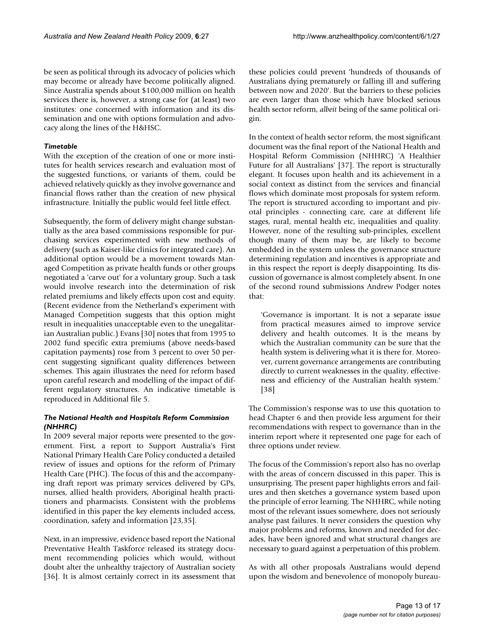be seen as political through its advocacy of policies which may become or already have become politically aligned. Since Australia spends about \$100,000 million on health services there is, however, a strong case for (at least) two institutes: one concerned with information and its dissemination and one with options formulation and advocacy along the lines of the H&HSC.

## *Timetable*

With the exception of the creation of one or more institutes for health services research and evaluation most of the suggested functions, or variants of them, could be achieved relatively quickly as they involve governance and financial flows rather than the creation of new physical infrastructure. Initially the public would feel little effect.

Subsequently, the form of delivery might change substantially as the area based commissions responsible for purchasing services experimented with new methods of delivery (such as Kaiser-like clinics for integrated care). An additional option would be a movement towards Managed Competition as private health funds or other groups negotiated a 'carve out' for a voluntary group. Such a task would involve research into the determination of risk related premiums and likely effects upon cost and equity. (Recent evidence from the Netherland's experiment with Managed Competition suggests that this option might result in inequalities unacceptable even to the unegalitarian Australian public.) Evans [30] notes that from 1995 to 2002 fund specific extra premiums (above needs-based capitation payments) rose from 3 percent to over 50 percent suggesting significant quality differences between schemes. This again illustrates the need for reform based upon careful research and modelling of the impact of different regulatory structures. An indicative timetable is reproduced in Additional file 5.

## *The National Health and Hospitals Reform Commission (NHHRC)*

In 2009 several major reports were presented to the government. First, a report to Support Australia's First National Primary Health Care Policy conducted a detailed review of issues and options for the reform of Primary Health Care (PHC). The focus of this and the accompanying draft report was primary services delivered by GPs, nurses, allied health providers, Aboriginal health practitioners and pharmacists. Consistent with the problems identified in this paper the key elements included access, coordination, safety and information [23,35].

Next, in an impressive, evidence based report the National Preventative Health Taskforce released its strategy document recommending policies which would, without doubt alter the unhealthy trajectory of Australian society [36]. It is almost certainly correct in its assessment that these policies could prevent 'hundreds of thousands of Australians dying prematurely or falling ill and suffering between now and 2020'. But the barriers to these policies are even larger than those which have blocked serious health sector reform, *albeit* being of the same political origin.

In the context of health sector reform, the most significant document was the final report of the National Health and Hospital Reform Commission (NHHRC) 'A Healthier Future for all Australians' [37]. The report is structurally elegant. It focuses upon health and its achievement in a social context as distinct from the services and financial flows which dominate most proposals for system reform. The report is structured according to important and pivotal principles - connecting care, care at different life stages, rural, mental health etc, inequalities and quality. However, none of the resulting sub-principles, excellent though many of them may be, are likely to become embedded in the system unless the governance structure determining regulation and incentives is appropriate and in this respect the report is deeply disappointing. Its discussion of governance is almost completely absent. In one of the second round submissions Andrew Podger notes that:

'Governance is important. It is not a separate issue from practical measures aimed to improve service delivery and health outcomes. It is the means by which the Australian community can be sure that the health system is delivering what it is there for. Moreover, current governance arrangements are contributing directly to current weaknesses in the quality, effectiveness and efficiency of the Australian health system.' [38]

The Commission's response was to use this quotation to head Chapter 6 and then provide less argument for their recommendations with respect to governance than in the interim report where it represented one page for each of three options under review.

The focus of the Commission's report also has no overlap with the areas of concern discussed in this paper. This is unsurprising. The present paper highlights errors and failures and then sketches a governance system based upon the principle of error learning. The NHHRC, while noting most of the relevant issues somewhere, does not seriously analyse past failures. It never considers the question why major problems and reforms, known and needed for decades, have been ignored and what structural changes are necessary to guard against a perpetuation of this problem.

As with all other proposals Australians would depend upon the wisdom and benevolence of monopoly bureau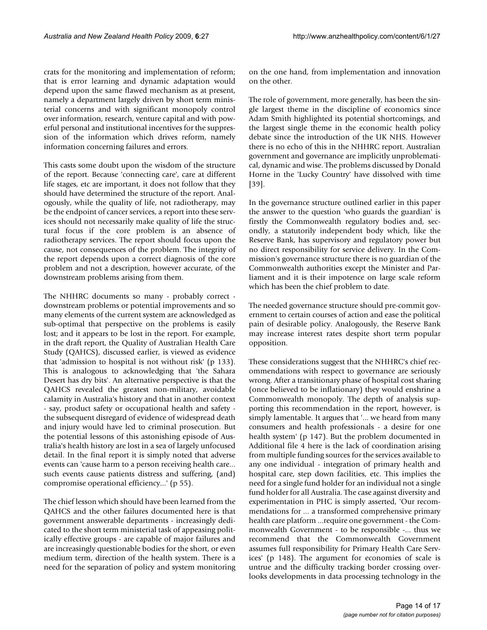crats for the monitoring and implementation of reform; that is error learning and dynamic adaptation would depend upon the same flawed mechanism as at present, namely a department largely driven by short term ministerial concerns and with significant monopoly control over information, research, venture capital and with powerful personal and institutional incentives for the suppression of the information which drives reform, namely information concerning failures and errors.

This casts some doubt upon the wisdom of the structure of the report. Because 'connecting care', care at different life stages, etc are important, it does not follow that they should have determined the structure of the report. Analogously, while the quality of life, not radiotherapy, may be the endpoint of cancer services, a report into these services should not necessarily make quality of life the structural focus if the core problem is an absence of radiotherapy services. The report should focus upon the cause, not consequences of the problem. The integrity of the report depends upon a correct diagnosis of the core problem and not a description, however accurate, of the downstream problems arising from them.

The NHHRC documents so many - probably correct downstream problems or potential improvements and so many elements of the current system are acknowledged as sub-optimal that perspective on the problems is easily lost; and it appears to be lost in the report. For example, in the draft report, the Quality of Australian Health Care Study (QAHCS), discussed earlier, is viewed as evidence that 'admission to hospital is not without risk' (p 133). This is analogous to acknowledging that 'the Sahara Desert has dry bits'. An alternative perspective is that the QAHCS revealed the greatest non-military, avoidable calamity in Australia's history and that in another context - say, product safety or occupational health and safety the subsequent disregard of evidence of widespread death and injury would have led to criminal prosecution. But the potential lessons of this astonishing episode of Australia's health history are lost in a sea of largely unfocused detail. In the final report it is simply noted that adverse events can 'cause harm to a person receiving health care... such events cause patients distress and suffering, (and) compromise operational efficiency...' (p 55).

The chief lesson which should have been learned from the QAHCS and the other failures documented here is that government answerable departments - increasingly dedicated to the short term ministerial task of appeasing politically effective groups - are capable of major failures and are increasingly questionable bodies for the short, or even medium term, direction of the health system. There is a need for the separation of policy and system monitoring on the one hand, from implementation and innovation on the other.

The role of government, more generally, has been the single largest theme in the discipline of economics since Adam Smith highlighted its potential shortcomings, and the largest single theme in the economic health policy debate since the introduction of the UK NHS. However there is no echo of this in the NHHRC report. Australian government and governance are implicitly unproblematical, dynamic and wise. The problems discussed by Donald Horne in the 'Lucky Country' have dissolved with time [39].

In the governance structure outlined earlier in this paper the answer to the question 'who guards the guardian' is firstly the Commonwealth regulatory bodies and, secondly, a statutorily independent body which, like the Reserve Bank, has supervisory and regulatory power but no direct responsibility for service delivery. In the Commission's governance structure there is no guardian of the Commonwealth authorities except the Minister and Parliament and it is their impotence on large scale reform which has been the chief problem to date.

The needed governance structure should pre-commit government to certain courses of action and ease the political pain of desirable policy. Analogously, the Reserve Bank may increase interest rates despite short term popular opposition.

These considerations suggest that the NHHRC's chief recommendations with respect to governance are seriously wrong. After a transitionary phase of hospital cost sharing (once believed to be inflationary) they would enshrine a Commonwealth monopoly. The depth of analysis supporting this recommendation in the report, however, is simply lamentable. It argues that '... we heard from many consumers and health professionals - a desire for one health system' (p 147). But the problem documented in Additional file 4 here is the lack of coordination arising from multiple funding sources for the services available to any one individual - integration of primary health and hospital care, step down facilities, etc. This implies the need for a single fund holder for an individual not a single fund holder for all Australia. The case against diversity and experimentation in PHC is simply asserted, 'Our recommendations for ... a transformed comprehensive primary health care platform ...require one government - the Commonwealth Government - to be responsible -... thus we recommend that the Commonwealth Government assumes full responsibility for Primary Health Care Services' (p 148). The argument for economies of scale is untrue and the difficulty tracking border crossing overlooks developments in data processing technology in the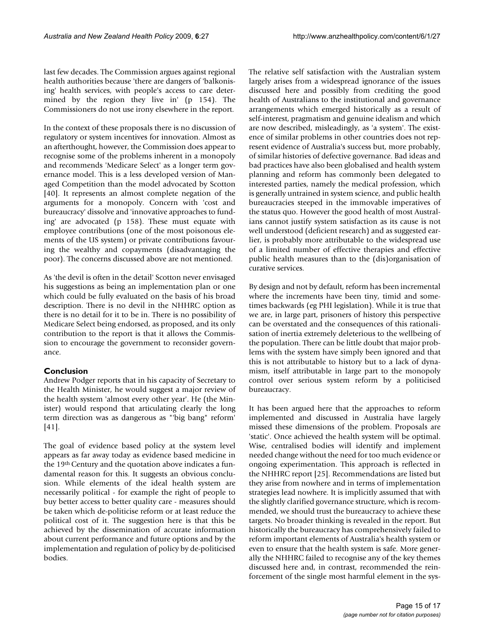last few decades. The Commission argues against regional health authorities because 'there are dangers of 'balkonising' health services, with people's access to care determined by the region they live in' (p 154). The Commissioners do not use irony elsewhere in the report.

In the context of these proposals there is no discussion of regulatory or system incentives for innovation. Almost as an afterthought, however, the Commission does appear to recognise some of the problems inherent in a monopoly and recommends 'Medicare Select' as a longer term governance model. This is a less developed version of Managed Competition than the model advocated by Scotton [40]. It represents an almost complete negation of the arguments for a monopoly. Concern with 'cost and bureaucracy' dissolve and 'innovative approaches to funding' are advocated (p 158). These must equate with employee contributions (one of the most poisonous elements of the US system) or private contributions favouring the wealthy and copayments (disadvantaging the poor). The concerns discussed above are not mentioned.

As 'the devil is often in the detail' Scotton never envisaged his suggestions as being an implementation plan or one which could be fully evaluated on the basis of his broad description. There is no devil in the NHHRC option as there is no detail for it to be in. There is no possibility of Medicare Select being endorsed, as proposed, and its only contribution to the report is that it allows the Commission to encourage the government to reconsider governance.

## **Conclusion**

Andrew Podger reports that in his capacity of Secretary to the Health Minister, he would suggest a major review of the health system 'almost every other year'. He (the Minister) would respond that articulating clearly the long term direction was as dangerous as "'big bang" reform' [41].

The goal of evidence based policy at the system level appears as far away today as evidence based medicine in the 19th Century and the quotation above indicates a fundamental reason for this. It suggests an obvious conclusion. While elements of the ideal health system are necessarily political - for example the right of people to buy better access to better quality care - measures should be taken which de-politicise reform or at least reduce the political cost of it. The suggestion here is that this be achieved by the dissemination of accurate information about current performance and future options and by the implementation and regulation of policy by de-politicised bodies.

The relative self satisfaction with the Australian system largely arises from a widespread ignorance of the issues discussed here and possibly from crediting the good health of Australians to the institutional and governance arrangements which emerged historically as a result of self-interest, pragmatism and genuine idealism and which are now described, misleadingly, as 'a system'. The existence of similar problems in other countries does not represent evidence of Australia's success but, more probably, of similar histories of defective governance. Bad ideas and bad practices have also been globalised and health system planning and reform has commonly been delegated to interested parties, namely the medical profession, which is generally untrained in system science, and public health bureaucracies steeped in the immovable imperatives of the status quo. However the good health of most Australians cannot justify system satisfaction as its cause is not well understood (deficient research) and as suggested earlier, is probably more attributable to the widespread use of a limited number of effective therapies and effective public health measures than to the (dis)organisation of curative services.

By design and not by default, reform has been incremental where the increments have been tiny, timid and sometimes backwards (eg PHI legislation). While it is true that we are, in large part, prisoners of history this perspective can be overstated and the consequences of this rationalisation of inertia extremely deleterious to the wellbeing of the population. There can be little doubt that major problems with the system have simply been ignored and that this is not attributable to history but to a lack of dynamism, itself attributable in large part to the monopoly control over serious system reform by a politicised bureaucracy.

It has been argued here that the approaches to reform implemented and discussed in Australia have largely missed these dimensions of the problem. Proposals are 'static'. Once achieved the health system will be optimal. Wise, centralised bodies will identify and implement needed change without the need for too much evidence or ongoing experimentation. This approach is reflected in the NHHRC report [25]. Recommendations are listed but they arise from nowhere and in terms of implementation strategies lead nowhere. It is implicitly assumed that with the slightly clarified governance structure, which is recommended, we should trust the bureaucracy to achieve these targets. No broader thinking is revealed in the report. But historically the bureaucracy has comprehensively failed to reform important elements of Australia's health system or even to ensure that the health system is safe. More generally the NHHRC failed to recognise any of the key themes discussed here and, in contrast, recommended the reinforcement of the single most harmful element in the sys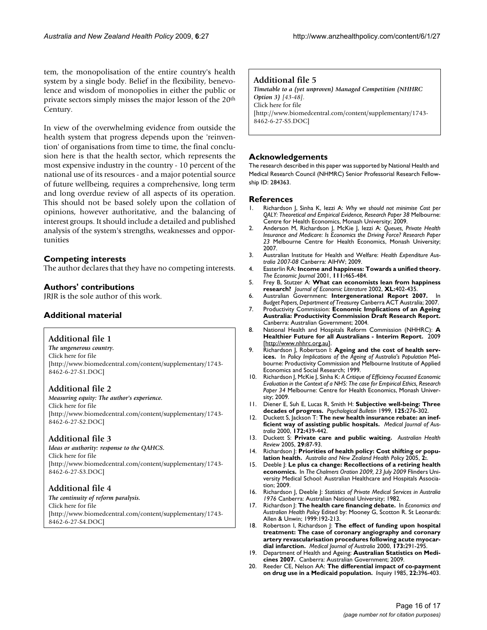tem, the monopolisation of the entire country's health system by a single body. Belief in the flexibility, benevolence and wisdom of monopolies in either the public or private sectors simply misses the major lesson of the 20th Century.

In view of the overwhelming evidence from outside the health system that progress depends upon the 'reinvention' of organisations from time to time, the final conclusion here is that the health sector, which represents the most expensive industry in the country - 10 percent of the national use of its resources - and a major potential source of future wellbeing, requires a comprehensive, long term and long overdue review of all aspects of its operation. This should not be based solely upon the collation of opinions, however authoritative, and the balancing of interest groups. It should include a detailed and published analysis of the system's strengths, weaknesses and opportunities

#### **Competing interests**

The author declares that they have no competing interests.

#### **Authors' contributions**

JRJR is the sole author of this work.

## **Additional material**

#### **Additional file 1**

*The ungenerous country.* Click here for file [\[http://www.biomedcentral.com/content/supplementary/1743-](http://www.biomedcentral.com/content/supplementary/1743-8462-6-27-S1.DOC) 8462-6-27-S1.DOC]

## **Additional file 2**

*Measuring equity: The author's experience.* Click here for file [\[http://www.biomedcentral.com/content/supplementary/1743-](http://www.biomedcentral.com/content/supplementary/1743-8462-6-27-S2.DOC) 8462-6-27-S2.DOC]

## **Additional file 3**

*Ideas or authority: response to the QAHCS.* Click here for file [\[http://www.biomedcentral.com/content/supplementary/1743-](http://www.biomedcentral.com/content/supplementary/1743-8462-6-27-S3.DOC) 8462-6-27-S3.DOC]

## **Additional file 4**

*The continuity of reform paralysis.* Click here for file [\[http://www.biomedcentral.com/content/supplementary/1743-](http://www.biomedcentral.com/content/supplementary/1743-8462-6-27-S4.DOC) 8462-6-27-S4.DOC]

## **Additional file 5**

*Timetable to a (yet unproven) Managed Competition (NHHRC Option 3) [43-48].* Click here for file [\[http://www.biomedcentral.com/content/supplementary/1743-](http://www.biomedcentral.com/content/supplementary/1743-8462-6-27-S5.DOC) 8462-6-27-S5.DOC]

### **Acknowledgements**

The research described in this paper was supported by National Health and Medical Research Council (NHMRC) Senior Professorial Research Fellowship ID: 284363.

#### **References**

- 1. Richardson J, Sinha K, Iezzi A: *Why we should not minimise Cost per QALY: Theoretical and Empirical Evidence, Research Paper 38* Melbourne: Centre for Health Economics, Monash University; 2009.
- 2. Anderson M, Richardson J, McKie J, Iezzi A: *Queues, Private Health Insurance and Medicare: Is Economics the Driving Force? Research Paper* 23 Melbourne Centre for Health Economics, Monash University; 2007.
- 3. Australian Institute for Health and Welfare: *Health Expenditure Australia 2007-08* Canberra: AIHW; 2009.
- 4. Easterlin RA: **Income and happiness: Towards a unified theory.** *The Economic Journal* 2001, **111:**465-484.
- 5. Frey B, Stutzer A: **What can economists lean from happiness research?** *Journal of Economic Literature* 2002, **XL:**402-435.
- 6. Australian Government: **Intergenerational Report 2007.** *Budget Papers, Department of Treasurey* Canberra ACT Australia; 2007.
- 7. Productivity Commission: **Economic Implications of an Ageing Australia: Productivity Commission Draft Research Report.** Canberra: Australian Government; 2004.
- 8. National Health and Hospitals Reform Commission (NHHRC): **A Healthier Future for all Australians - Interim Report.** 2009 [[http://www.nhhrc.org.au\]](http://www.nhhrc.org.au).
- 9. Richardson J, Robertson I: **Ageing and the cost of health services.** In *Policy Implications of the Ageing of Australia's Population* Melbourne: Productivity Commission and Melbourne Institute of Applied Economics and Social Research; 1999.
- 10. Richardson J, McKie J, Sinha K: *A Critique of Efficiency Focussed Economic Evaluation in the Context of a NHS: The case for Empirical Ethics, Research Paper 34* Melbourne: Centre for Health Economics, Monash University; 2009.
- 11. Diener E, Suh E, Lucas R, Smith H: **Subjective well-being: Three decades of progress.** *Psychological Bulletin* 1999, **125:**276-302.
- 12. Duckett S, Jackson T: **[The new health insurance rebate: an inef](http://www.ncbi.nlm.nih.gov/entrez/query.fcgi?cmd=Retrieve&db=PubMed&dopt=Abstract&list_uids=10870538)[ficient way of assisting public hospitals.](http://www.ncbi.nlm.nih.gov/entrez/query.fcgi?cmd=Retrieve&db=PubMed&dopt=Abstract&list_uids=10870538)** *Medical Journal of Australia* 2000, **172:**439-442.
- 13. Duckett S: **[Private care and public waiting.](http://www.ncbi.nlm.nih.gov/entrez/query.fcgi?cmd=Retrieve&db=PubMed&dopt=Abstract&list_uids=15683360)** *Australian Health Review* 2005, **29:**87-93.
- 14. Richardson J: **[Priorities of health policy: Cost shifting or popu](http://www.ncbi.nlm.nih.gov/entrez/query.fcgi?cmd=Retrieve&db=PubMed&dopt=Abstract&list_uids=15679895)[lation health.](http://www.ncbi.nlm.nih.gov/entrez/query.fcgi?cmd=Retrieve&db=PubMed&dopt=Abstract&list_uids=15679895)** *Australia and New Zealand Health Policy* 2005, **2:**.
- 15. Deeble J: **Le plus ca change: Recollections of a retiring health economics.** In *The Chalmers Oration 2009, 23 July 2009* Flinders University Medical School: Australian Healthcare and Hospitals Association; 2009.
- 16. Richardson J, Deeble J: *Statistics of Private Medical Services in Australia 1976* Canberra: Australian National University; 1982.
- 17. Richardson J: **The health care financing debate.** In *Economics and Australian Health Policy* Edited by: Mooney G, Scotton R. St Leonards: Allen & Unwin; 1999:192-213.
- 18. Robertson I, Richardson J: **[The effect of funding upon hospital](http://www.ncbi.nlm.nih.gov/entrez/query.fcgi?cmd=Retrieve&db=PubMed&dopt=Abstract&list_uids=11061397) [treatment: The case of coronary angiography and coronary](http://www.ncbi.nlm.nih.gov/entrez/query.fcgi?cmd=Retrieve&db=PubMed&dopt=Abstract&list_uids=11061397) artery revascularisation procedures following acute myocar[dial infarction.](http://www.ncbi.nlm.nih.gov/entrez/query.fcgi?cmd=Retrieve&db=PubMed&dopt=Abstract&list_uids=11061397)** *Medical Journal of Australia* 2000, **173:**291-295.
- 19. Department of Health and Ageing: **Australian Statistics on Medicines 2007.** Canberra: Australian Government; 2009.
- 20. Reeder CE, Nelson AA: **[The differential impact of co-payment](http://www.ncbi.nlm.nih.gov/entrez/query.fcgi?cmd=Retrieve&db=PubMed&dopt=Abstract&list_uids=2934334) [on drug use in a Medicaid population.](http://www.ncbi.nlm.nih.gov/entrez/query.fcgi?cmd=Retrieve&db=PubMed&dopt=Abstract&list_uids=2934334)** *Inquiry* 1985, **22:**396-403.